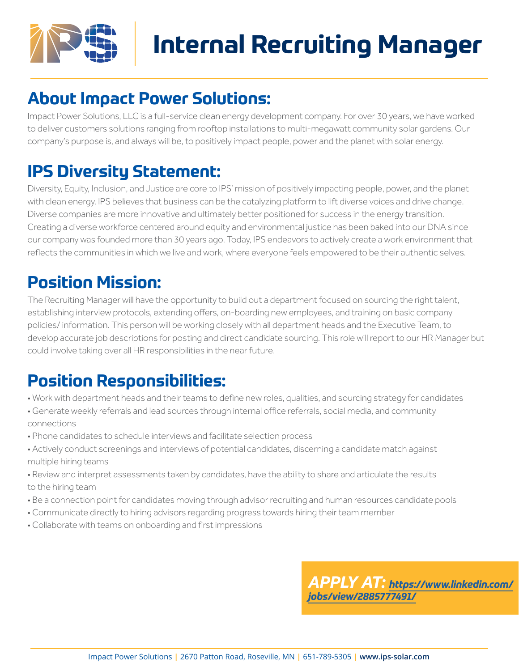

# **Internal Recruiting Manager**

#### **About Impact Power Solutions:**

Impact Power Solutions, LLC is a full-service clean energy development company. For over 30 years, we have worked to deliver customers solutions ranging from rooftop installations to multi-megawatt community solar gardens. Our company's purpose is, and always will be, to positively impact people, power and the planet with solar energy.

#### **IPS Diversity Statement:**

Diversity, Equity, Inclusion, and Justice are core to IPS' mission of positively impacting people, power, and the planet with clean energy. IPS believes that business can be the catalyzing platform to lift diverse voices and drive change. Diverse companies are more innovative and ultimately better positioned for success in the energy transition. Creating a diverse workforce centered around equity and environmental justice has been baked into our DNA since our company was founded more than 30 years ago. Today, IPS endeavors to actively create a work environment that reflects the communities in which we live and work, where everyone feels empowered to be their authentic selves.

### **Position Mission:**

The Recruiting Manager will have the opportunity to build out a department focused on sourcing the right talent, establishing interview protocols, extending offers, on-boarding new employees, and training on basic company policies/ information. This person will be working closely with all department heads and the Executive Team, to develop accurate job descriptions for posting and direct candidate sourcing. This role will report to our HR Manager but could involve taking over all HR responsibilities in the near future.

## **Position Responsibilities:**

- Work with department heads and their teams to define new roles, qualities, and sourcing strategy for candidates
- Generate weekly referrals and lead sources through internal office referrals, social media, and community connections
- Phone candidates to schedule interviews and facilitate selection process
- Actively conduct screenings and interviews of potential candidates, discerning a candidate match against multiple hiring teams
- Review and interpret assessments taken by candidates, have the ability to share and articulate the results to the hiring team
- Be a connection point for candidates moving through advisor recruiting and human resources candidate pools
- Communicate directly to hiring advisors regarding progress towards hiring their team member
- Collaborate with teams on onboarding and first impressions

*APPLY AT: [https://www.linkedin.com/](https://www.linkedin.com/jobs/view/2885777491/) [jobs/view/2885777491/](https://www.linkedin.com/jobs/view/2885777491/)*